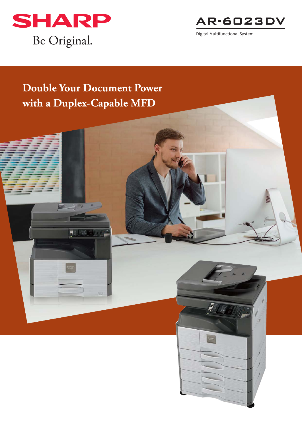



# **Double Your Document Power with a Duplex-Capable MFD**

BIN

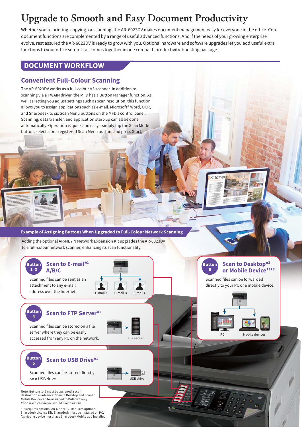## **Upgrade to Smooth and Easy Document Productivity**

Whether you're printing, copying, or scanning, the AR-6023DV makes document management easy for everyone in the office. Core document functions are complemented by a range of useful advanced functions. And if the needs of your growing enterprise evolve, rest assured the AR-6023DV is ready to grow with you. Optional hardware and software upgrades let you add useful extra functions to your office setup. It all comes together in one compact, productivity-boosting package.

### **DOCUMENT WORKFLOW**

### **Convenient Full-Colour Scanning**

The AR-6023DV works as a full-colour A3 scanner. In addition to scanning via a TWAIN driver, the MFD has a Button Manager function. As well as letting you adjust settings such as scan resolution, this function allows you to assign applications such as e-mail, Microsoft® Word, OCR, and Sharpdesk to six Scan Menu buttons on the MFD's control panel. Scanning, data transfer, and application start-up can all be done automatically. Operation is quick and easy—simply tap the Scan Mode button, select a pre-registered Scan Menu button, and press Start.

#### **Example of Assigning Buttons When Upgraded to Full-Colour Network Scanning**

Adding the optional AR-NB7 N Network Expansion Kit upgrades the AR-6023DV to a full-colour network scanner, enhancing its scan functionality.

#### **Button 1–3 Scan to E-mail\*1 A/B/C**

Scanned files can be sent as an attachment to any e-mail



## **<sup>4</sup> Scan to FTP Server\*1**

Scanned files can be stored on a file server where they can be easily accessed from any PC on the network.



USB drive

#### **Button 6 Scan to Desktop\*2 or Mobile Device\*1 \*3**

**Kitcher** 

Scanned files can be forwarded directly to your PC or a mobile device.



**Button**

**Button**

#### **<sup>5</sup> Scan to USB Drive\*1**

Scanned files can be stored directly on a USB drive.

Note: Buttons 1–6 must be assigned a scan destination in advance. Scan to Desktop and Scan to Mobile Device can be assigned to Button 6 only. Choose which one you would like to assign.

\*1: Requires optional AR-NB7 N. \*2: Requires optional Sharpdesk License Kit. Sharpdesk must be installed on PC. \*3: Mobile device must have Sharpdesk Mobile app installed.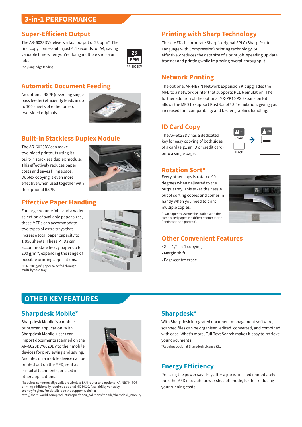### **3-in-1 PERFORMANCE**

#### **Super-Efficient Output**

The AR-6023DV delivers a fast output of 23 ppm\*. The first copy comes out in just 6.4 seconds for A4, saving valuable time when you're doing multiple short-run jobs.



### **Automatic Document Feeding**

An optional RSPF (reversing single pass feeder) efficiently feeds in up to 100 sheets of either one- or two-sided originals.

\*A4 , long-edge feeding



### **Built-in Stackless Duplex Module**

The AR-6023DV can make two-sided printouts using its built-in stackless duplex module. This effectively reduces paper costs and saves filing space. Duplex copying is even more effective when used together with the optional RSPF.



### **Effective Paper Handling**

For large-volume jobs and a wider selection of available paper sizes, these MFDs can accommodate two types of extra trays that increase total paper capacity to 1,850 sheets. These MFDs can accommodate heavy paper up to 200 g/m<sup>2\*</sup>, expanding the range of possible printing applications. \*106–200 g/m2 paper to be fed through multi-bypass tray.



### **Printing with Sharp Technology**

These MFDs incorporate Sharp's original SPLC (Sharp Printer Language with Compression) printing technology. SPLC effectively reduces the data size of a print job, speeding up data transfer and printing while improving overall throughput.

### **Network Printing**

The optional AR-NB7 N Network Expansion Kit upgrades the MFD to a network printer that supports PCL 6 emulation. The further addition of the optional MX-PK10 PS Expansion Kit allows the MFD to support PostScript® 3™ emulation, giving you increased font compatibility and better graphics handling.

### **ID Card Copy**

The AR-6023DV has a dedicated key for easy copying of both sides of a card (e.g., an ID or credit card) onto a single page.



### **Rotation Sort\***

Every other copy is rotated 90 degrees when delivered to the output tray. This takes the hassle out of sorting copies and comes in handy when you need to print multiple copies.

\*Two paper trays must be loaded with the same-sized paper in a different orientation (landscape and portrait).



#### **Other Convenient Features**

- 2-in-1/4-in-1 copying
- Margin shift
- Edge/centre erase

### **OTHER KEY FEATURES**

#### **Sharpdesk Mobile\***

Sharpdesk Mobile is a mobile print/scan application. With Sharpdesk Mobile, users can import documents scanned on the AR-6023DV/6020DV to their mobile devices for previewing and saving. And files on a mobile device can be printed out on the MFD, sent as e-mail attachments, or used in other applications.



\*Requires commercially available wireless LAN router and optional AR-NB7 N; PDF printing additionally requires optional MX-PK10. Availability varies by country/region. For details, see the support website:

http://sharp-world.com/products/copier/docu\_solutions/mobile/sharpdesk\_mobile/

### **Sharpdesk\***

With Sharpdesk integrated document management software, scanned files can be organised, edited, converted, and combined with ease. What's more, Full Text Search makes it easy to retrieve your documents.

\*Requires optional Sharpdesk License Kit.

### **Energy Efficiency**

Pressing the power save key after a job is finished immediately puts the MFD into auto power shut-off mode, further reducing your running costs.